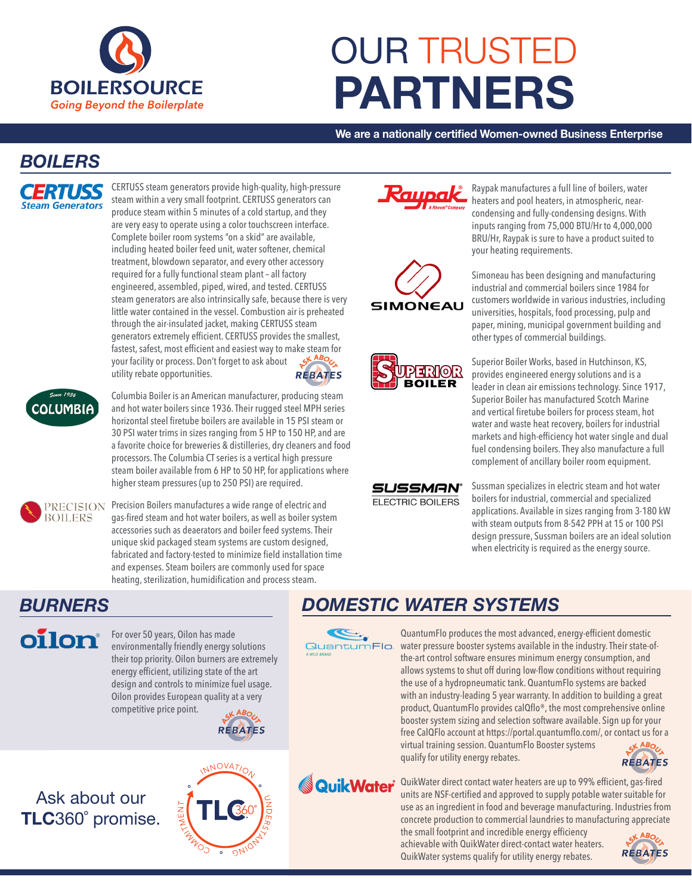

# OUR TRUSTED **PARTNERS**

**We are a nationally certified Women-owned Business Enterprise**

#### *BOILERS*



CERTUSS steam generators provide high-quality, high-pressure steam within a very small footprint. CERTUSS generators can produce steam within 5 minutes of a cold startup, and they are very easy to operate using a color touchscreen interface. Complete boiler room systems "on a skid" are available, including heated boiler feed unit, water softener, chemical treatment, blowdown separator, and every other accessory required for a fully functional steam plant – all factory engineered, assembled, piped, wired, and tested. CERTUSS steam generators are also intrinsically safe, because there is very little water contained in the vessel. Combustion air is preheated through the air-insulated jacket, making CERTUSS steam generators extremely efficient. CERTUSS provides the smallest, fastest, safest, most efficient and easiest way to make steam for<br>your facility or process. Don't forget to ask about your facility or process. Don't forget to ask about utility rebate opportunities. **REBATES** 



Columbia Boiler is an American manufacturer, producing steam and hot water boilers since 1936. Their rugged steel MPH series horizontal steel firetube boilers are available in 15 PSI steam or 30 PSI water trims in sizes ranging from 5 HP to 150 HP, and are a favorite choice for breweries & distilleries, dry cleaners and food processors. The Columbia CT series is a vertical high pressure steam boiler available from 6 HP to 50 HP, for applications where higher steam pressures (up to 250 PSI) are required.



PRECISION Precision Boilers manufactures a wide range of electric and gas-fired steam and hot water boilers, as well as boiler system accessories such as deaerators and boiler feed systems. Their unique skid packaged steam systems are custom designed, fabricated and factory-tested to minimize field installation time and expenses. Steam boilers are commonly used for space heating, sterilization, humidification and process steam.



For over 50 years, Oilon has made environmentally friendly energy solutions their top priority. Oilon burners are extremely energy efficient, utilizing state of the art design and controls to minimize fuel usage. Oilon provides European quality at a very competitive price point.



# Ask about our **TLC**360˚ promise.





**SUSSMAN® ELECTRIC BOILERS** 

Raypak manufactures a full line of boilers, water heaters and pool heaters, in atmospheric, nearcondensing and fully-condensing designs. With inputs ranging from 75,000 BTU/Hr to 4,000,000 BRU/Hr, Raypak is sure to have a product suited to your heating requirements.

Simoneau has been designing and manufacturing industrial and commercial boilers since 1984 for customers worldwide in various industries, including universities, hospitals, food processing, pulp and paper, mining, municipal government building and other types of commercial buildings.



aupak

**SIMONEAU** 

Superior Boiler Works, based in Hutchinson, KS, provides engineered energy solutions and is a leader in clean air emissions technology. Since 1917, Superior Boiler has manufactured Scotch Marine and vertical firetube boilers for process steam, hot water and waste heat recovery, boilers for industrial markets and high-efficiency hot water single and dual fuel condensing boilers. They also manufacture a full complement of ancillary boiler room equipment.

Sussman specializes in electric steam and hot water boilers for industrial, commercial and specialized applications. Available in sizes ranging from 3-180 kW with steam outputs from 8-542 PPH at 15 or 100 PSI design pressure, Sussman boilers are an ideal solution when electricity is required as the energy source.

# *BURNERS DOMESTIC WATER SYSTEMS*

QuantumFlo.

QuantumFlo produces the most advanced, energy-efficient domestic water pressure booster systems available in the industry. Their state-ofthe-art control software ensures minimum energy consumption, and allows systems to shut off during low-flow conditions without requiring the use of a hydropneumatic tank. QuantumFlo systems are backed with an industry-leading 5 year warranty. In addition to building a great product, QuantumFlo provides calQflo®, the most comprehensive online booster system sizing and selection software available. Sign up for your free CalQFlo account at https://portal.quantumflo.com/, or contact us for a virtual training session. QuantumFlo Booster systems SK ABOC qualify for utility energy rebates.



**QuikWater** QuikWater direct contact water heaters are up to 99% efficient, gas-fired units are NSF-certified and approved to supply potable water suitable for use as an ingredient in food and beverage manufacturing. Industries from concrete production to commercial laundries to manufacturing appreciate

> the small footprint and incredible energy efficiency achievable with QuikWater direct-contact water heaters. QuikWater systems qualify for utility energy rebates.